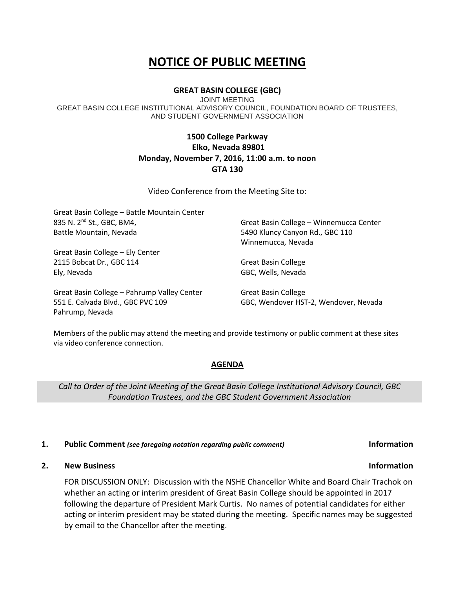# **NOTICE OF PUBLIC MEETING**

# **GREAT BASIN COLLEGE (GBC)**

JOINT MEETING GREAT BASIN COLLEGE INSTITUTIONAL ADVISORY COUNCIL, FOUNDATION BOARD OF TRUSTEES, AND STUDENT GOVERNMENT ASSOCIATION

# **1500 College Parkway Elko, Nevada 89801 Monday, November 7, 2016, 11:00 a.m. to noon GTA 130**

Video Conference from the Meeting Site to:

| Great Basin College - Battle Mountain Center         |                                         |
|------------------------------------------------------|-----------------------------------------|
| 835 N. 2 <sup>nd</sup> St., GBC, BM4,                | Great Basin College - Winnemucca Center |
| Battle Mountain, Nevada                              | 5490 Kluncy Canyon Rd., GBC 110         |
|                                                      | Winnemucca, Nevada                      |
| Great Basin College - Ely Center                     |                                         |
| 2115 Bobcat Dr., GBC 114                             | Great Basin College                     |
| Ely, Nevada                                          | GBC, Wells, Nevada                      |
| Great Basin College - Pahrump Valley Center          | Great Basin College                     |
| 551 E. Calvada Blvd., GBC PVC 109<br>Pahrump, Nevada | GBC, Wendover HST-2, Wendover, Nevada   |

Members of the public may attend the meeting and provide testimony or public comment at these sites via video conference connection.

### **AGENDA**

*Call to Order of the Joint Meeting of the Great Basin College Institutional Advisory Council, GBC Foundation Trustees, and the GBC Student Government Association*

### **1. Public Comment** *(see foregoing notation regarding public comment)* **Information**

# **2. New Business Information**

FOR DISCUSSION ONLY: Discussion with the NSHE Chancellor White and Board Chair Trachok on whether an acting or interim president of Great Basin College should be appointed in 2017 following the departure of President Mark Curtis. No names of potential candidates for either acting or interim president may be stated during the meeting. Specific names may be suggested by email to the Chancellor after the meeting.